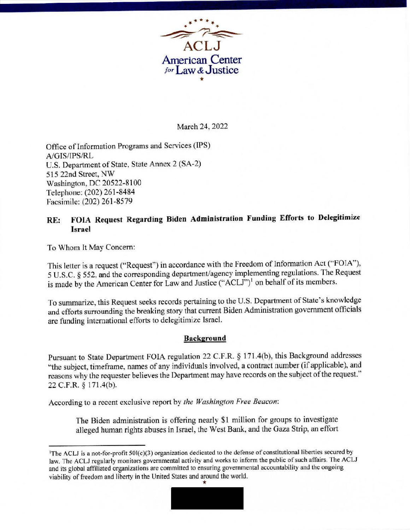

#### March 24, 2022

Office of Information Programs and Services (IPS) A/GIS/TPS/RL U.S. Department of State, State Annex 2 (SA-2) 515 22nd Street, NW Washington, DC 20522-8100 Telephone: (202) 261-8484 Facsimile: (202) 261-8579

# **RE: FOIA Request Regarding Biden Administration Funding Efforts to Delegitimize Israel**

To Whom It May Concern:

This letter is a request ("Request") in accordance with the Freedom of Information Act ('•FOlA"), 5 U.S.C. § 552, and the corresponding department/agency implementing regulations. The Request is made by the American Center for Law and Justice ("ACLJ")<sup>1</sup> on behalf of its members.

To summarize, this Request seeks records pertaining to the U.S. Department of State's knowledge and efforts surrounding the breaking story that current Biden Administration government officials are funding international efforts to delegitimize Israel.

#### **Background**

Pursuant to State Department FOIA regulation 22 C.F.R. § 171.4(b), this Background addresses "the subject, timeframe, names of any individuals involved, a contract number (if applicable), and reasons why the requester believes the Department may have records on the subject of the request." 22C.F.R. § 171.4(b).

According to a recent exclusive report by *the Washington Free Beacon:* 

The Biden administration is offering nearly \$1 million for groups to investigate alleged human rights abuses in Israel, the West Bank, and the Gaza Strip, an effort

<sup>&</sup>lt;sup>1</sup>The ACLJ is a not-for-profit 50l(c)(3) organization dedicated to the defense of constitutional liberties secured by law. The ACLJ regularly monitors governmental activity and works to inform the public of such affairs. The ACLJ and its global affiliated organizations are committed to ensuring governmental accountability and the ongoing viability of freedom and liberty in the United States and around the world.

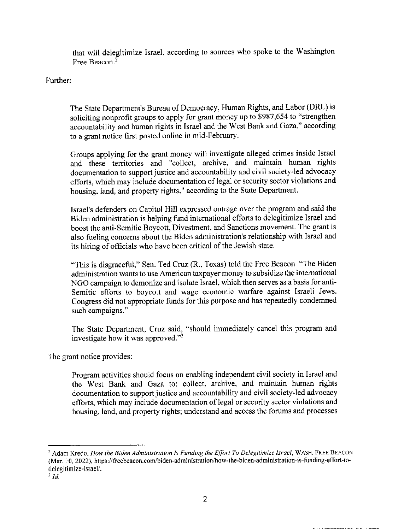that will delegitimize Israel, according to sources who spoke to the Washington Free Beacon. 2

### Further:

The State Department's Bureau of Democracy, Human Rights, and Labor (DRL) is soliciting nonprofit groups to apply for grant money up to \$987,654 to "strengthen accountability and human rights in Israel and the West Bank and Gaza," according to a grant notice first posted onlinc in mid-February.

Groups applying for the grant money will investigate alleged crimes inside Israel and these territories and "collect, archive, and maintain human rights documentation to support justice and accountability and civil society-led advocacy efforts, which may include documentation of legal or security sector violations and housing, land, and property rights," according to the State Department.

Israel's defenders on Capitol Hill expressed outrage over the program and said the Biden administration is helping fund international efforts to delegitimize Israel and boost the anti-Semitic Boycott, Divestment, and Sanctions movement. The grant is also fueling concerns about the Biden administration's relationship with Israel and its hiring of officials who have been critical of the Jewish state.

"This is disgraceful," Sen. Ted Cruz (R., Texas) told the Free Beacon. "The Biden administration wants to use American taxpayer money to subsidize the international NGO campaign to demonize and isolate Israel, which then serves as a basis for anti-Semitic efforts to boycott and wage economic warfare against Israeli Jews. Congress did not appropriate funds for this purpose and has repeatedly condemned such campaigns."

The State Department, Cruz said, "should immediately cancel this program and investigate how it was approved. "<sup>3</sup>

The grant notice provides:

Program activities should focus on enabling independent civil society in Israel and the West Bank and Gaza to: collect, archive, and maintain human rights documentation to support justice and accountability and civil society-led advocacy efforts, which may include documentation of legal or security sector violations and housing, land, and property rights; understand and access the forums and processes

<sup>&</sup>lt;sup>2</sup> Adam Kredo, *How the Biden Administration Is Funding the Effort To Delegitimize Israel*, WASH. FREE BEACON (Mar. JO, 2022), https://freebeacon.com/biden-administration/how-the-biden-administration-is-funding-effort-todelegitimize-israel/.

s *Id*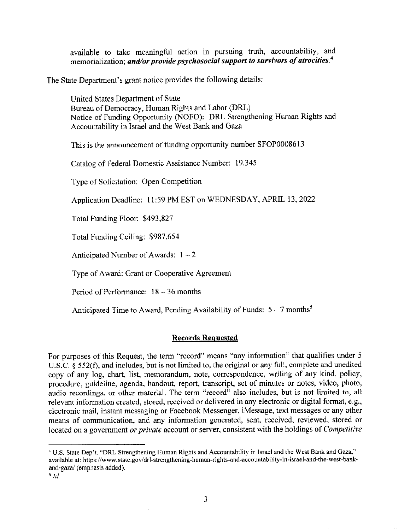available to take meaningful action in pursuing truth, accountability, and memorialization; *and/or provide psychosocial support to survivors of atrocities.* **<sup>4</sup>**

The State Department's grant notice provides the following details:

United States Department of State Bureau of Democracy, Human Rights and Labor (DRL) Notice of Funding Opportunity (NOFO): DRL Strengthening Human Rights and Accountability in Israel and the West Bank and Gaza

This is the announcement of funding opportunity number SFOP0008613

Catalog of Federal Domestic Assistance Number: 19.345

Type of Solicitation: Open Competition

Application Deadline: 11:59 PM EST on WEDNESDAY, APRIL 13, 2022

Total Funding Floor: \$493,827

Total Funding Ceiling: \$987,654

Anticipated Number of Awards:  $1 - 2$ 

Type of Award: Grant or Cooperative Agreement

Period of Performance: 18 - 36 months

Anticipated Time to Award, Pending Availability of Funds:  $5 - 7$  months<sup>5</sup>

# **Records Requested**

For purposes of this Request, the term "record" means "any information" that qualifies under 5 U.S.C.  $\zeta$  552(f), and includes, but is not limited to, the original or any full, complete and unedited copy of any log, chart, list, memorandum, note, correspondence, writing of any kind, policy, procedure, guideline, agenda, handout, report, transcript, set of minutes or notes, video, photo, audio recordings, or other material. The term "record" also includes, but is not limited to, all relevant information created, stored, received or delivered in any electronic or digital format, e.g., electronic mail, instant messaging or Facebook Messenger, iMessage, text messages or any other means of communication, and any information generated, sent, received, reviewed, stored or located on a government *or private* account or server, consistent with the holdings of *Competitive* 

<sup>4</sup> U.S. State Dep't, "DRL Strengthening Human Rights and Accountability in Israel and the West Bank and Gaza," available at: https://www.state.gov/drl-strengthening-human-rights-and-accountability-in-israel-and-the-west-bankand-gaza/ (emphasis added).

*<sup>5</sup> /d*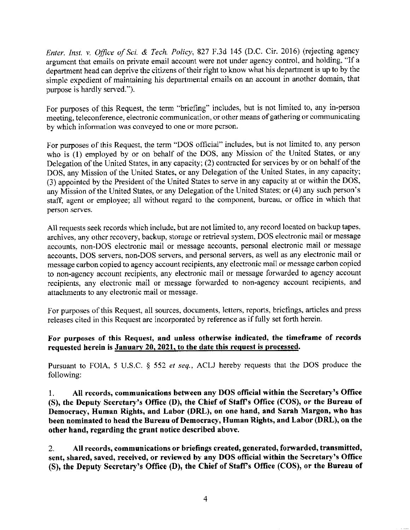*Enter. Inst. v. Ojfice of Sci. & Tech. Policy,* 827 F .3d 145 (D.C. Cir. 2016) (rejecting agency argument that emails on private email account were not under agency control, and holding, "If a department head can deprive the citizens of their right to know what his department is up to by the simple expedient of maintaining his departmental emails on an account in another domain, that purpose is hardly served.").

For purposes of this Request, the term "briefing" includes, but is not limited to, any in-person meeting, teleconference, electronic communication, or other means of gathering or communicating by which information was conveyed to one or more person.

For purposes of this Request, the term "DOS official" includes, but is not limited to, any person who is (I) employed by or on behalf of the DOS, any Mission of the United States, or any Delegation of the United States, in any capacity; (2) contracted for services by or on behalf of the DOS, any Mission of the United States, or any Delegation of the United States, in any capacity; (3) appointed by the President of the United States to serve in any capacity at or within the DOS, any Mission of the United States, or any Delegation of the United States; or (4) any such person's staff, agent or employee; all without regard to the component, bureau, or office in which that person serves.

All requests seek records which include, but are not limited to, any record located on backup tapes, archives, any other recovery, backup, storage or retrieval system, DOS electronic mail or message accounts, non-DOS electronic mail or message accounts, personal electronic mail or message accounts, DOS servers, non-DOS servers, and personal servers, as well as any electronic mail or message carbon copied to agency account recipients, any electronic mail or message carbon copied to non-agency account recipients, any electronic mail or message forwarded to agency account recipients, any electronic mail or message forwarded to non-agency account recipients, and attachments to any electronic mail or message.

For purposes of this Request, all sources, documents, letters, reports, briefings, articles and press releases cited in this Request are incorporated by reference as if fully set forth herein.

## **For purposes of this Request, and unless otherwise indicated, the timeframe of records requested herein is January 20, 2021, to the date this request is processed.**

Pursuant to FOIA, 5 U,S,C. § 552 *et seq.,* ACLJ hereby requests that the DOS produce the following:

**I. All records, communications between any DOS official within the Secretary's Office (S), the Deputy Secretary's Office (D), the Chief of Staff's Office (COS), or the Bureau of Democracy, Human Rights, and Labor (DRL), on one hand, and Sarah Margon, who has been nominated to head the Bureau of Democracy, Human Rights, and Labor (DRL), on the other hand, regarding the grant notice described above.** 

2. **All records, communications or briefings created, generated, forwarded, transmitted,**  sent, shared, saved, received, or reviewed by any DOS official within the Secretary's Office **(S), the Deputy Secretary's Office (D), the Chief of Staff's Office (COS), or the Bureau of**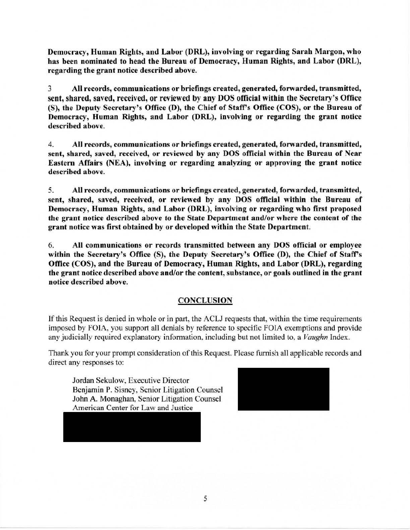Democracy, Human Rights, and Labor (DRL), involving or regarding Sarah Margon, who bas been nominated to head the Bureau of Democracy, Human Rights, and Labor (DRL), regarding the grant notice described above.

3 All records, communications or briefings created, generated, forwarded, transmitted, sent, shared, saved, received, or reviewed by any DOS official within the Secretary's Office (S), the Deputy Secretary's Office (D), the Chief of Staff's Office (COS), or the Bureau of Democracy, Human Rights, and Labor (DRL), involving or regarding the grant notice described above.

4. All records, communications or briefings created, generated, fonvarded, transmitted, sent, shared, saved, received, or reviewed by any DOS official within the Bureau of Near Eastern Affairs (NEA), involving or regarding analyzing or approving the grant notice described above.

5. All records, communications or briefings created, generated, forwarded, transmitted, sent, shared, saved, received, or reviewed by any DOS official within the Bureau of Democracy, Human Rights, and Labor (DRL), involving or regarding who first proposed the grant notice described above to the State Department and/or where the content of the grant notice was first obtained by or developed within the State Department.

6. All communications or records transmitted between any DOS official or employee within the Secretary's Office (S), the Deputy Secretary's Office (D), the Chief of Staff's Office (COS), and the Bureau of Democracy, Human Rights, and Labor (DRL), regarding the grant notice described above and/or the content, substance, or goals outlined in the grant notice described above.

# **CONCLUSION**

If this Request is denied in whole or in part, the ACLJ requests that, within the time requirements imposed by FOIA, you support all denials by reference to specific FOlA exemptions and provide any judicially required explanatory information. including but not limited to. a *Vaughn* Index.

Thank you for your prompt consideration of this Request. Please furnish all applicable records and direct any responses to:

Jordan Sekulow, Executive Director Benjamin P. Sisney, Senior Litigation Counsel John A. Monaghan, Senior Litigation Counsel American Center for Law and Justice